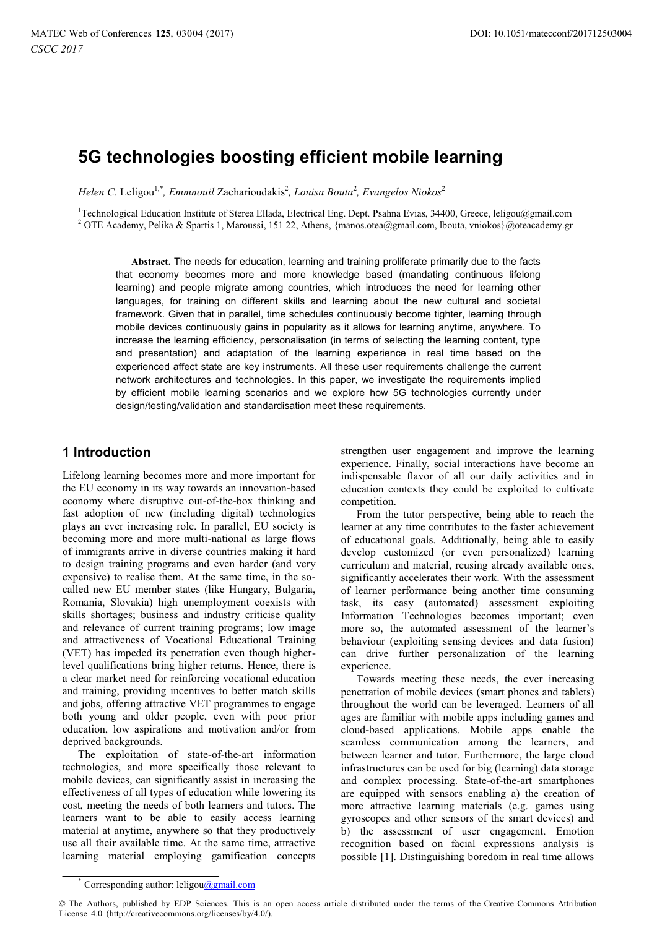# **5G technologies boosting efficient mobile learning**

 $H$ elen C. Leligou<sup>1,\*</sup>, *Emmnouil Zacharioudakis<sup>2</sup>, Louisa Bouta<sup>2</sup>, Evangelos Niokos<sup>2</sup>* 

<sup>1</sup>Technological Education Institute of Sterea Ellada, Electrical Eng. Dept. Psahna Evias, 34400, Greece, leligou@gmail.com<br><sup>2</sup> OTE Academy, Pelika & Spartis 1, Maroussi, 151.22, Athens, (manos otea@gmail.com, lbouta, vnio <sup>2</sup> OTE Academy, Pelika & Spartis 1, Maroussi, 151 22, Athens, {manos.otea@gmail.com, lbouta, vniokos}@oteacademy.gr

**Abstract.** The needs for education, learning and training proliferate primarily due to the facts that economy becomes more and more knowledge based (mandating continuous lifelong learning) and people migrate among countries, which introduces the need for learning other languages, for training on different skills and learning about the new cultural and societal framework. Given that in parallel, time schedules continuously become tighter, learning through mobile devices continuously gains in popularity as it allows for learning anytime, anywhere. To increase the learning efficiency, personalisation (in terms of selecting the learning content, type and presentation) and adaptation of the learning experience in real time based on the experienced affect state are key instruments. All these user requirements challenge the current network architectures and technologies. In this paper, we investigate the requirements implied by efficient mobile learning scenarios and we explore how 5G technologies currently under design/testing/validation and standardisation meet these requirements.

#### **1 Introduction**

Lifelong learning becomes more and more important for the EU economy in its way towards an innovation-based economy where disruptive out-of-the-box thinking and fast adoption of new (including digital) technologies plays an ever increasing role. In parallel, EU society is becoming more and more multi-national as large flows of immigrants arrive in diverse countries making it hard to design training programs and even harder (and very expensive) to realise them. At the same time, in the socalled new EU member states (like Hungary, Bulgaria, Romania, Slovakia) high unemployment coexists with skills shortages; business and industry criticise quality and relevance of current training programs; low image and attractiveness of Vocational Educational Training (VET) has impeded its penetration even though higherlevel qualifications bring higher returns. Hence, there is a clear market need for reinforcing vocational education and training, providing incentives to better match skills and jobs, offering attractive VET programmes to engage both young and older people, even with poor prior education, low aspirations and motivation and/or from deprived backgrounds.

The exploitation of state-of-the-art information technologies, and more specifically those relevant to mobile devices, can significantly assist in increasing the effectiveness of all types of education while lowering its cost, meeting the needs of both learners and tutors. The learners want to be able to easily access learning material at anytime, anywhere so that they productively use all their available time. At the same time, attractive learning material employing gamification concepts

strengthen user engagement and improve the learning experience. Finally, social interactions have become an indispensable flavor of all our daily activities and in education contexts they could be exploited to cultivate competition.

From the tutor perspective, being able to reach the learner at any time contributes to the faster achievement of educational goals. Additionally, being able to easily develop customized (or even personalized) learning curriculum and material, reusing already available ones, significantly accelerates their work. With the assessment of learner performance being another time consuming task, its easy (automated) assessment exploiting Information Technologies becomes important; even more so, the automated assessment of the learner's behaviour (exploiting sensing devices and data fusion) can drive further personalization of the learning experience.

Towards meeting these needs, the ever increasing penetration of mobile devices (smart phones and tablets) throughout the world can be leveraged. Learners of all ages are familiar with mobile apps including games and cloud-based applications. Mobile apps enable the seamless communication among the learners, and between learner and tutor. Furthermore, the large cloud infrastructures can be used for big (learning) data storage and complex processing. State-of-the-art smartphones are equipped with sensors enabling a) the creation of more attractive learning materials (e.g. games using gyroscopes and other sensors of the smart devices) and b) the assessment of user engagement. Emotion recognition based on facial expressions analysis is possible [1]. Distinguishing boredom in real time allows

<sup>\*</sup> Corresponding author: leligou@gmail.com

<sup>©</sup> The Authors, published by EDP Sciences. This is an open access article distributed under the terms of the Creative Commons Attribution License 4.0 (http://creativecommons.org/licenses/by/4.0/).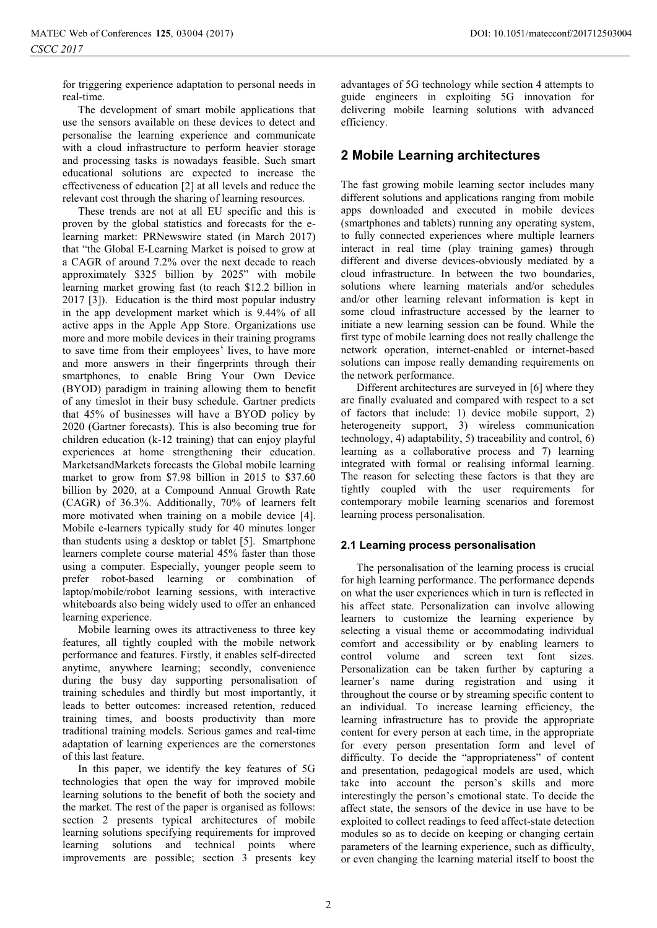for triggering experience adaptation to personal needs in real-time.

The development of smart mobile applications that use the sensors available on these devices to detect and personalise the learning experience and communicate with a cloud infrastructure to perform heavier storage and processing tasks is nowadays feasible. Such smart educational solutions are expected to increase the effectiveness of education [2] at all levels and reduce the relevant cost through the sharing of learning resources.

These trends are not at all EU specific and this is proven by the global statistics and forecasts for the elearning market: PRNewswire stated (in March 2017) that "the Global E-Learning Market is poised to grow at a CAGR of around 7.2% over the next decade to reach approximately \$325 billion by 2025" with mobile learning market growing fast (to reach \$12.2 billion in 2017 [3]). Education is the third most popular industry in the app development market which is 9.44% of all active apps in the Apple App Store. Organizations use more and more mobile devices in their training programs to save time from their employees' lives, to have more and more answers in their fingerprints through their smartphones, to enable Bring Your Own Device (BYOD) paradigm in training allowing them to benefit of any timeslot in their busy schedule. Gartner predicts that 45% of businesses will have a BYOD policy by 2020 (Gartner forecasts). This is also becoming true for children education (k-12 training) that can enjoy playful experiences at home strengthening their education. MarketsandMarkets forecasts the Global mobile learning market to grow from \$7.98 billion in 2015 to \$37.60 billion by 2020, at a Compound Annual Growth Rate (CAGR) of 36.3%. Additionally, 70% of learners felt more motivated when training on a mobile device [4]. Mobile e-learners typically study for 40 minutes longer than students using a desktop or tablet [5]. Smartphone learners complete course material 45% faster than those using a computer. Especially, younger people seem to prefer robot-based learning or combination of laptop/mobile/robot learning sessions, with interactive whiteboards also being widely used to offer an enhanced learning experience.

Mobile learning owes its attractiveness to three key features, all tightly coupled with the mobile network performance and features. Firstly, it enables self-directed anytime, anywhere learning; secondly, convenience during the busy day supporting personalisation of training schedules and thirdly but most importantly, it leads to better outcomes: increased retention, reduced training times, and boosts productivity than more traditional training models. Serious games and real-time adaptation of learning experiences are the cornerstones of this last feature.

In this paper, we identify the key features of 5G technologies that open the way for improved mobile learning solutions to the benefit of both the society and the market. The rest of the paper is organised as follows: section 2 presents typical architectures of mobile learning solutions specifying requirements for improved learning solutions and technical points where improvements are possible; section 3 presents key

advantages of 5G technology while section 4 attempts to guide engineers in exploiting 5G innovation for delivering mobile learning solutions with advanced efficiency.

#### **2 Mobile Learning architectures**

The fast growing mobile learning sector includes many different solutions and applications ranging from mobile apps downloaded and executed in mobile devices (smartphones and tablets) running any operating system, to fully connected experiences where multiple learners interact in real time (play training games) through different and diverse devices-obviously mediated by a cloud infrastructure. In between the two boundaries, solutions where learning materials and/or schedules and/or other learning relevant information is kept in some cloud infrastructure accessed by the learner to initiate a new learning session can be found. While the first type of mobile learning does not really challenge the network operation, internet-enabled or internet-based solutions can impose really demanding requirements on the network performance.

Different architectures are surveyed in [6] where they are finally evaluated and compared with respect to a set of factors that include: 1) device mobile support, 2) heterogeneity support, 3) wireless communication technology, 4) adaptability, 5) traceability and control, 6) learning as a collaborative process and 7) learning integrated with formal or realising informal learning. The reason for selecting these factors is that they are tightly coupled with the user requirements for contemporary mobile learning scenarios and foremost learning process personalisation.

#### **2.1 Learning process personalisation**

The personalisation of the learning process is crucial for high learning performance. The performance depends on what the user experiences which in turn is reflected in his affect state. Personalization can involve allowing learners to customize the learning experience by selecting a visual theme or accommodating individual comfort and accessibility or by enabling learners to control volume and screen text font sizes. Personalization can be taken further by capturing a learner's name during registration and using it throughout the course or by streaming specific content to an individual. To increase learning efficiency, the learning infrastructure has to provide the appropriate content for every person at each time, in the appropriate for every person presentation form and level of difficulty. To decide the "appropriateness" of content and presentation, pedagogical models are used, which take into account the person's skills and more interestingly the person's emotional state. To decide the affect state, the sensors of the device in use have to be exploited to collect readings to feed affect-state detection modules so as to decide on keeping or changing certain parameters of the learning experience, such as difficulty, or even changing the learning material itself to boost the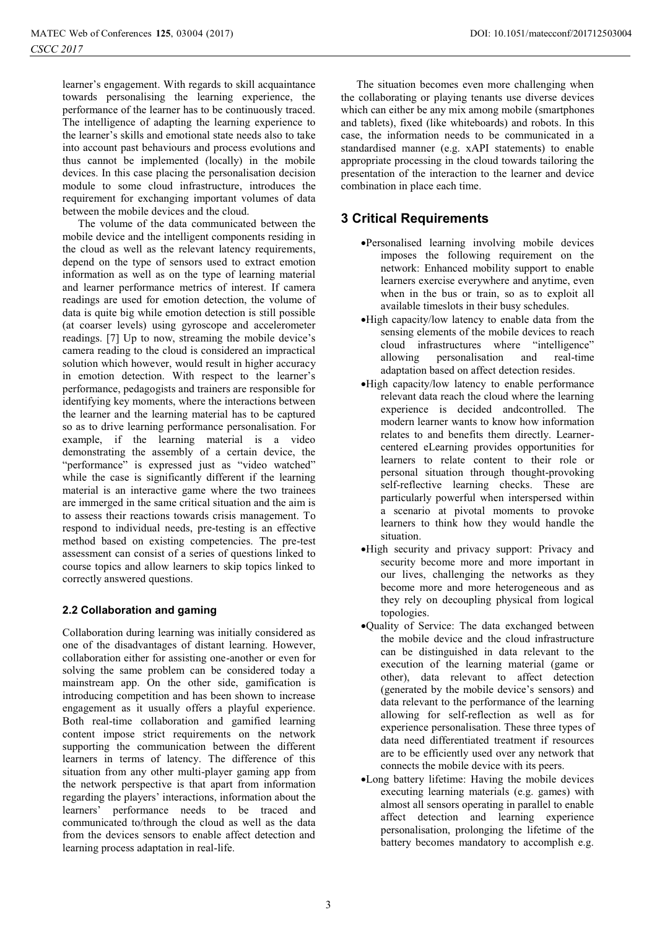learner's engagement. With regards to skill acquaintance towards personalising the learning experience, the performance of the learner has to be continuously traced. The intelligence of adapting the learning experience to the learner's skills and emotional state needs also to take into account past behaviours and process evolutions and thus cannot be implemented (locally) in the mobile devices. In this case placing the personalisation decision module to some cloud infrastructure, introduces the requirement for exchanging important volumes of data between the mobile devices and the cloud.

The volume of the data communicated between the mobile device and the intelligent components residing in the cloud as well as the relevant latency requirements, depend on the type of sensors used to extract emotion information as well as on the type of learning material and learner performance metrics of interest. If camera readings are used for emotion detection, the volume of data is quite big while emotion detection is still possible (at coarser levels) using gyroscope and accelerometer readings. [7] Up to now, streaming the mobile device's camera reading to the cloud is considered an impractical solution which however, would result in higher accuracy in emotion detection. With respect to the learner's performance, pedagogists and trainers are responsible for identifying key moments, where the interactions between the learner and the learning material has to be captured so as to drive learning performance personalisation. For example, if the learning material is a video demonstrating the assembly of a certain device, the "performance" is expressed just as "video watched" while the case is significantly different if the learning material is an interactive game where the two trainees are immerged in the same critical situation and the aim is to assess their reactions towards crisis management. To respond to individual needs, pre-testing is an effective method based on existing competencies. The pre-test assessment can consist of a series of questions linked to course topics and allow learners to skip topics linked to correctly answered questions.

#### **2.2 Collaboration and gaming**

Collaboration during learning was initially considered as one of the disadvantages of distant learning. However, collaboration either for assisting one-another or even for solving the same problem can be considered today a mainstream app. On the other side, gamification is introducing competition and has been shown to increase engagement as it usually offers a playful experience. Both real-time collaboration and gamified learning content impose strict requirements on the network supporting the communication between the different learners in terms of latency. The difference of this situation from any other multi-player gaming app from the network perspective is that apart from information regarding the players' interactions, information about the learners' performance needs to be traced and communicated to/through the cloud as well as the data from the devices sensors to enable affect detection and learning process adaptation in real-life.

The situation becomes even more challenging when the collaborating or playing tenants use diverse devices which can either be any mix among mobile (smartphones and tablets), fixed (like whiteboards) and robots. In this case, the information needs to be communicated in a standardised manner (e.g. xAPI statements) to enable appropriate processing in the cloud towards tailoring the presentation of the interaction to the learner and device combination in place each time.

#### **3 Critical Requirements**

- -Personalised learning involving mobile devices imposes the following requirement on the network: Enhanced mobility support to enable learners exercise everywhere and anytime, even when in the bus or train, so as to exploit all available timeslots in their busy schedules.
- -High capacity/low latency to enable data from the sensing elements of the mobile devices to reach cloud infrastructures where "intelligence" allowing personalisation and real-time adaptation based on affect detection resides.
- -High capacity/low latency to enable performance relevant data reach the cloud where the learning experience is decided andcontrolled. The modern learner wants to know how information relates to and benefits them directly. Learnercentered eLearning provides opportunities for learners to relate content to their role or personal situation through thought-provoking self-reflective learning checks. These are particularly powerful when interspersed within a scenario at pivotal moments to provoke learners to think how they would handle the situation.
- -High security and privacy support: Privacy and security become more and more important in our lives, challenging the networks as they become more and more heterogeneous and as they rely on decoupling physical from logical topologies.
- -Quality of Service: The data exchanged between the mobile device and the cloud infrastructure can be distinguished in data relevant to the execution of the learning material (game or other), data relevant to affect detection (generated by the mobile device's sensors) and data relevant to the performance of the learning allowing for self-reflection as well as for experience personalisation. These three types of data need differentiated treatment if resources are to be efficiently used over any network that connects the mobile device with its peers.
- -Long battery lifetime: Having the mobile devices executing learning materials (e.g. games) with almost all sensors operating in parallel to enable affect detection and learning experience personalisation, prolonging the lifetime of the battery becomes mandatory to accomplish e.g.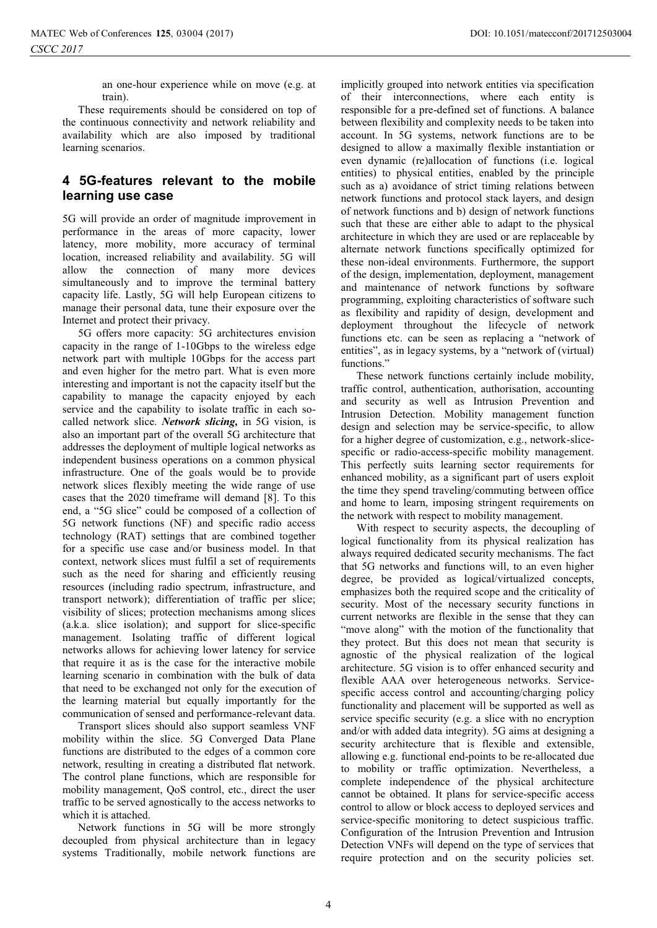an one-hour experience while on move (e.g. at train).

These requirements should be considered on top of the continuous connectivity and network reliability and availability which are also imposed by traditional learning scenarios.

#### **4 5G-features relevant to the mobile learning use case**

5G will provide an order of magnitude improvement in performance in the areas of more capacity, lower latency, more mobility, more accuracy of terminal location, increased reliability and availability. 5G will allow the connection of many more devices simultaneously and to improve the terminal battery capacity life. Lastly, 5G will help European citizens to manage their personal data, tune their exposure over the Internet and protect their privacy.

5G offers more capacity: 5G architectures envision capacity in the range of 1-10Gbps to the wireless edge network part with multiple 10Gbps for the access part and even higher for the metro part. What is even more interesting and important is not the capacity itself but the capability to manage the capacity enjoyed by each service and the capability to isolate traffic in each socalled network slice. *Network slicing,* in 5G vision, is also an important part of the overall 5G architecture that addresses the deployment of multiple logical networks as independent business operations on a common physical infrastructure. One of the goals would be to provide network slices flexibly meeting the wide range of use cases that the 2020 timeframe will demand [8]. To this end, a "5G slice" could be composed of a collection of 5G network functions (NF) and specific radio access technology (RAT) settings that are combined together for a specific use case and/or business model. In that context, network slices must fulfil a set of requirements such as the need for sharing and efficiently reusing resources (including radio spectrum, infrastructure, and transport network); differentiation of traffic per slice; visibility of slices; protection mechanisms among slices (a.k.a. slice isolation); and support for slice-specific management. Isolating traffic of different logical networks allows for achieving lower latency for service that require it as is the case for the interactive mobile learning scenario in combination with the bulk of data that need to be exchanged not only for the execution of the learning material but equally importantly for the communication of sensed and performance-relevant data.

Transport slices should also support seamless VNF mobility within the slice. 5G Converged Data Plane functions are distributed to the edges of a common core network, resulting in creating a distributed flat network. The control plane functions, which are responsible for mobility management, QoS control, etc., direct the user traffic to be served agnostically to the access networks to which it is attached.

Network functions in 5G will be more strongly decoupled from physical architecture than in legacy systems Traditionally, mobile network functions are

implicitly grouped into network entities via specification of their interconnections, where each entity is responsible for a pre-defined set of functions. A balance between flexibility and complexity needs to be taken into account. In 5G systems, network functions are to be designed to allow a maximally flexible instantiation or even dynamic (re)allocation of functions (i.e. logical entities) to physical entities, enabled by the principle such as a) avoidance of strict timing relations between network functions and protocol stack layers, and design of network functions and b) design of network functions such that these are either able to adapt to the physical architecture in which they are used or are replaceable by alternate network functions specifically optimized for these non-ideal environments. Furthermore, the support of the design, implementation, deployment, management and maintenance of network functions by software programming, exploiting characteristics of software such as flexibility and rapidity of design, development and deployment throughout the lifecycle of network functions etc. can be seen as replacing a "network of entities", as in legacy systems, by a "network of (virtual) functions."

These network functions certainly include mobility, traffic control, authentication, authorisation, accounting and security as well as Intrusion Prevention and Intrusion Detection. Mobility management function design and selection may be service-specific, to allow for a higher degree of customization, e.g., network-slicespecific or radio-access-specific mobility management. This perfectly suits learning sector requirements for enhanced mobility, as a significant part of users exploit the time they spend traveling/commuting between office and home to learn, imposing stringent requirements on the network with respect to mobility management.

With respect to security aspects, the decoupling of logical functionality from its physical realization has always required dedicated security mechanisms. The fact that 5G networks and functions will, to an even higher degree, be provided as logical/virtualized concepts, emphasizes both the required scope and the criticality of security. Most of the necessary security functions in current networks are flexible in the sense that they can "move along" with the motion of the functionality that they protect. But this does not mean that security is agnostic of the physical realization of the logical architecture. 5G vision is to offer enhanced security and flexible AAA over heterogeneous networks. Servicespecific access control and accounting/charging policy functionality and placement will be supported as well as service specific security (e.g. a slice with no encryption and/or with added data integrity). 5G aims at designing a security architecture that is flexible and extensible, allowing e.g. functional end-points to be re-allocated due to mobility or traffic optimization. Nevertheless, a complete independence of the physical architecture cannot be obtained. It plans for service-specific access control to allow or block access to deployed services and service-specific monitoring to detect suspicious traffic. Configuration of the Intrusion Prevention and Intrusion Detection VNFs will depend on the type of services that require protection and on the security policies set.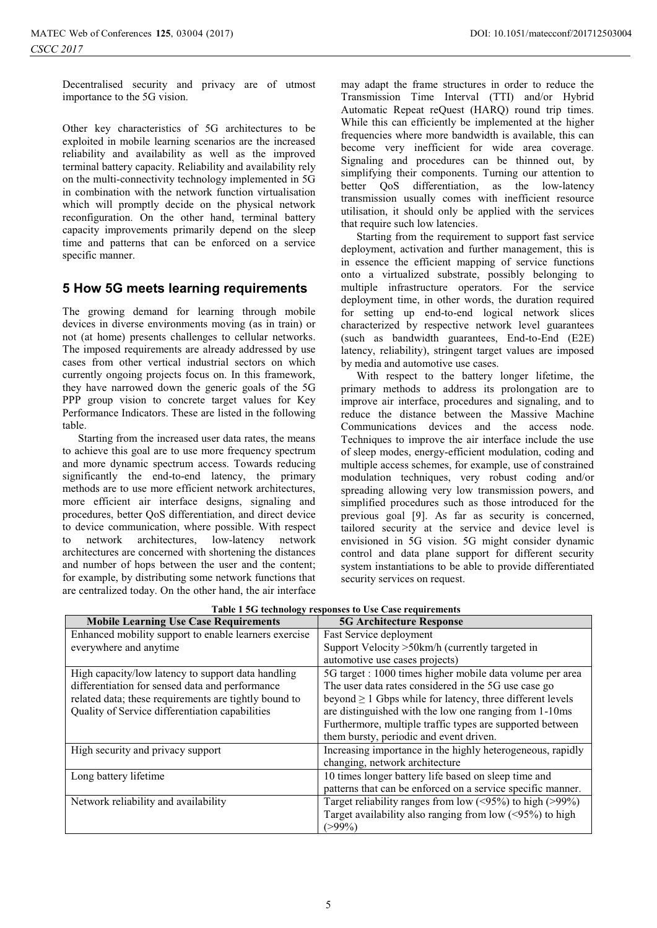Decentralised security and privacy are of utmost importance to the 5G vision.

Other key characteristics of 5G architectures to be exploited in mobile learning scenarios are the increased reliability and availability as well as the improved terminal battery capacity. Reliability and availability rely on the multi-connectivity technology implemented in 5G in combination with the network function virtualisation which will promptly decide on the physical network reconfiguration. On the other hand, terminal battery capacity improvements primarily depend on the sleep time and patterns that can be enforced on a service specific manner.

#### **5 How 5G meets learning requirements**

The growing demand for learning through mobile devices in diverse environments moving (as in train) or not (at home) presents challenges to cellular networks. The imposed requirements are already addressed by use cases from other vertical industrial sectors on which currently ongoing projects focus on. In this framework, they have narrowed down the generic goals of the 5G PPP group vision to concrete target values for Key Performance Indicators. These are listed in the following table.

Starting from the increased user data rates, the means to achieve this goal are to use more frequency spectrum and more dynamic spectrum access. Towards reducing significantly the end-to-end latency, the primary methods are to use more efficient network architectures, more efficient air interface designs, signaling and procedures, better QoS differentiation, and direct device to device communication, where possible. With respect<br>to network architectures, low-latency network to network architectures, architectures are concerned with shortening the distances and number of hops between the user and the content; for example, by distributing some network functions that are centralized today. On the other hand, the air interface

may adapt the frame structures in order to reduce the Transmission Time Interval (TTI) and/or Hybrid Automatic Repeat reQuest (HARQ) round trip times. While this can efficiently be implemented at the higher frequencies where more bandwidth is available, this can become very inefficient for wide area coverage. Signaling and procedures can be thinned out, by simplifying their components. Turning our attention to better QoS differentiation, as the low-latency transmission usually comes with inefficient resource utilisation, it should only be applied with the services that require such low latencies.

Starting from the requirement to support fast service deployment, activation and further management, this is in essence the efficient mapping of service functions onto a virtualized substrate, possibly belonging to multiple infrastructure operators. For the service deployment time, in other words, the duration required for setting up end-to-end logical network slices characterized by respective network level guarantees (such as bandwidth guarantees, End-to-End (E2E) latency, reliability), stringent target values are imposed by media and automotive use cases.

With respect to the battery longer lifetime, the primary methods to address its prolongation are to improve air interface, procedures and signaling, and to reduce the distance between the Massive Machine Communications devices and the access node. Techniques to improve the air interface include the use of sleep modes, energy-efficient modulation, coding and multiple access schemes, for example, use of constrained modulation techniques, very robust coding and/or spreading allowing very low transmission powers, and simplified procedures such as those introduced for the previous goal [9]. As far as security is concerned, tailored security at the service and device level is envisioned in 5G vision. 5G might consider dynamic control and data plane support for different security system instantiations to be able to provide differentiated security services on request.

| <b>Mobile Learning Use Case Requirements</b>          | <b>5G Architecture Response</b>                                        |
|-------------------------------------------------------|------------------------------------------------------------------------|
| Enhanced mobility support to enable learners exercise | Fast Service deployment                                                |
| everywhere and anytime                                | Support Velocity >50km/h (currently targeted in                        |
|                                                       | automotive use cases projects)                                         |
| High capacity/low latency to support data handling    | 5G target : 1000 times higher mobile data volume per area              |
| differentiation for sensed data and performance       | The user data rates considered in the 5G use case go                   |
| related data; these requirements are tightly bound to | beyond $\geq 1$ Gbps while for latency, three different levels         |
| Quality of Service differentiation capabilities       | are distinguished with the low one ranging from 1-10ms                 |
|                                                       | Furthermore, multiple traffic types are supported between              |
|                                                       | them bursty, periodic and event driven.                                |
| High security and privacy support                     | Increasing importance in the highly heterogeneous, rapidly             |
|                                                       | changing, network architecture                                         |
| Long battery lifetime                                 | 10 times longer battery life based on sleep time and                   |
|                                                       | patterns that can be enforced on a service specific manner.            |
| Network reliability and availability                  | Target reliability ranges from low $(\leq 95\%)$ to high $(\geq 99\%)$ |
|                                                       | Target availability also ranging from low $($ <95%) to high            |
|                                                       | $(>99\%)$                                                              |

Table 1.5G technology responses to Use Case requirements